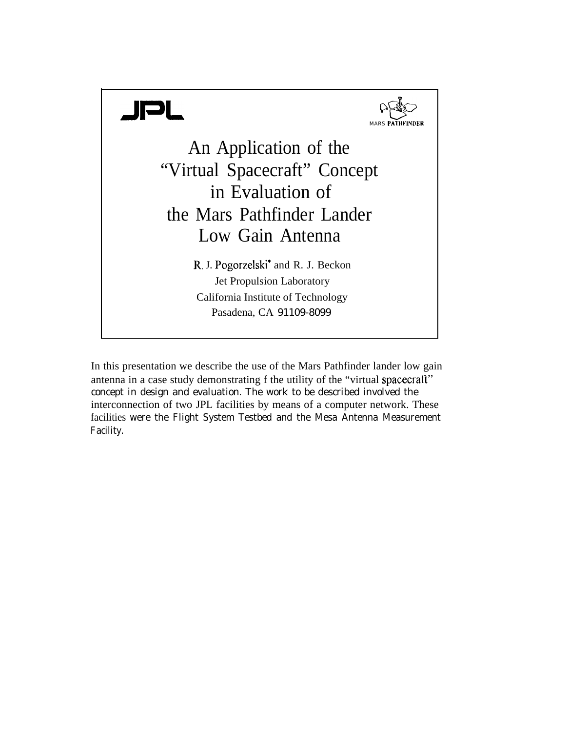

In this presentation we describe the use of the Mars Pathfinder lander low gain antenna in a case study demonstrating f the utility of the "virtual spacecratl" concept in design and evaluation. The work to be described involved the interconnection of two JPL facilities by means of a computer network. These facilities were the Flight System Testbed and the Mesa Antenna Measurement Facility.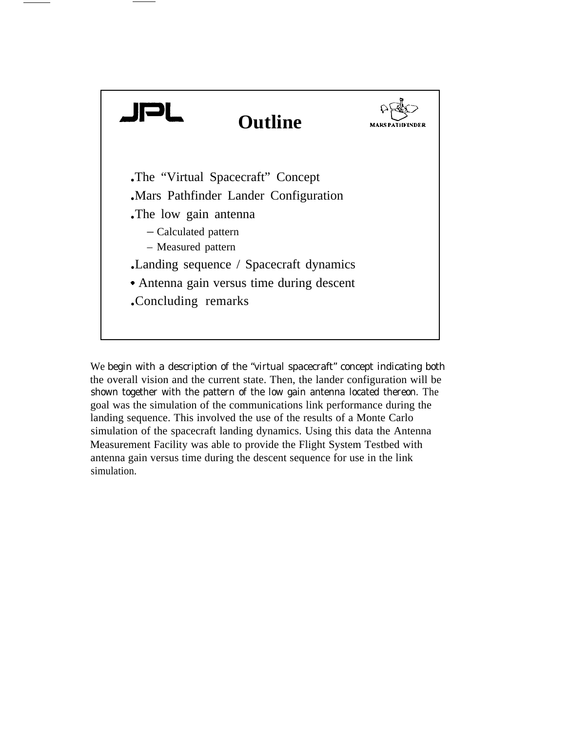

We begin with a description of the "virtual spacecraft" concept indicating both the overall vision and the current state. Then, the lander configuration will be shown together with the pattern of the low gain antenna located thereon. The goal was the simulation of the communications link performance during the landing sequence. This involved the use of the results of a Monte Carlo simulation of the spacecraft landing dynamics. Using this data the Antenna Measurement Facility was able to provide the Flight System Testbed with antenna gain versus time during the descent sequence for use in the link simulation.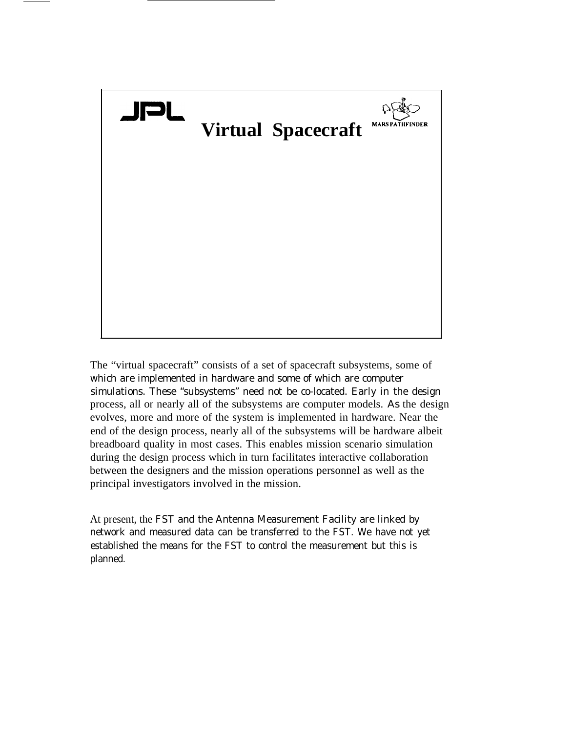

The "virtual spacecraft" consists of a set of spacecraft subsystems, some of which are implemented in hardware and some of which are computer simulations. These "subsystems" need not be co-located. Early in the design process, all or nearly all of the subsystems are computer models. As the design evolves, more and more of the system is implemented in hardware. Near the end of the design process, nearly all of the subsystems will be hardware albeit breadboard quality in most cases. This enables mission scenario simulation during the design process which in turn facilitates interactive collaboration between the designers and the mission operations personnel as well as the principal investigators involved in the mission.

At present, the FST and the Antenna Measurement Facility are linked by network and measured data can be transferred to the FST. We have not yet established the means for the FST to control the measurement but this is planned.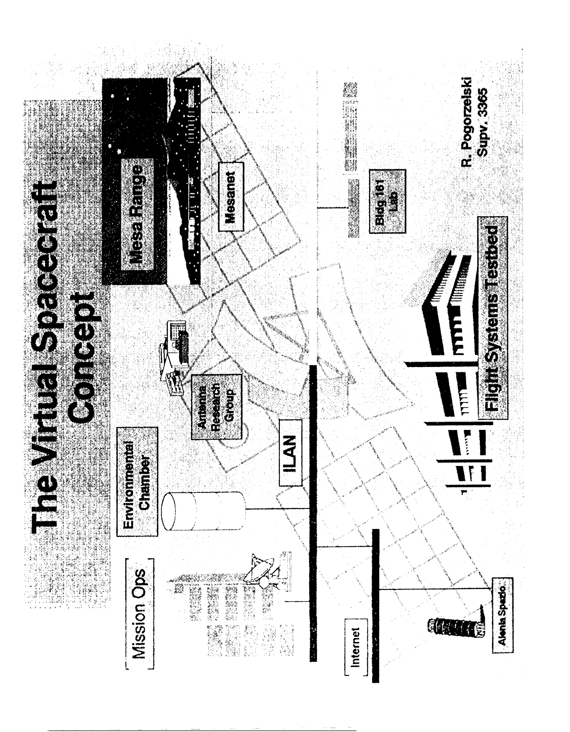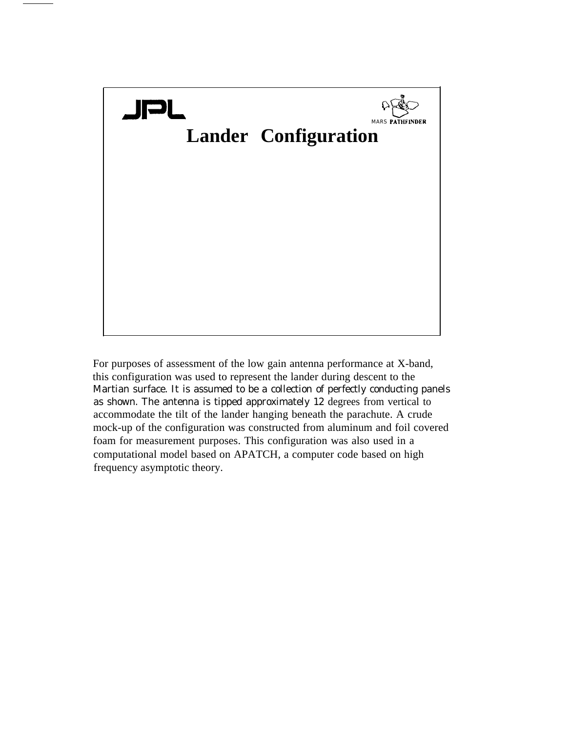

For purposes of assessment of the low gain antenna performance at X-band, this configuration was used to represent the lander during descent to the Martian surface. It is assumed to be a collection of perfectly conducting panels as shown. The antenna is tipped approximately 12 degrees from vertical to accommodate the tilt of the lander hanging beneath the parachute. A crude mock-up of the configuration was constructed from aluminum and foil covered foam for measurement purposes. This configuration was also used in a computational model based on APATCH, a computer code based on high frequency asymptotic theory.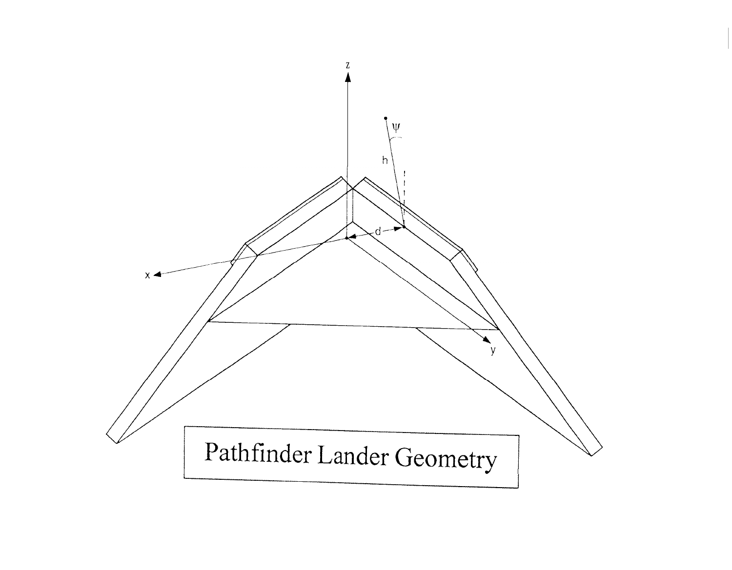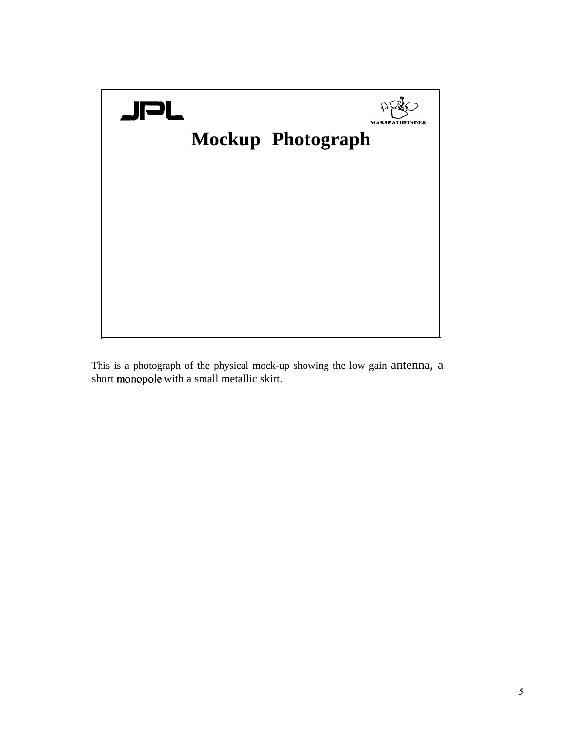

This is a photograph of the physical mock-up showing the low gain antenna, a short monopole with a small metallic skirt.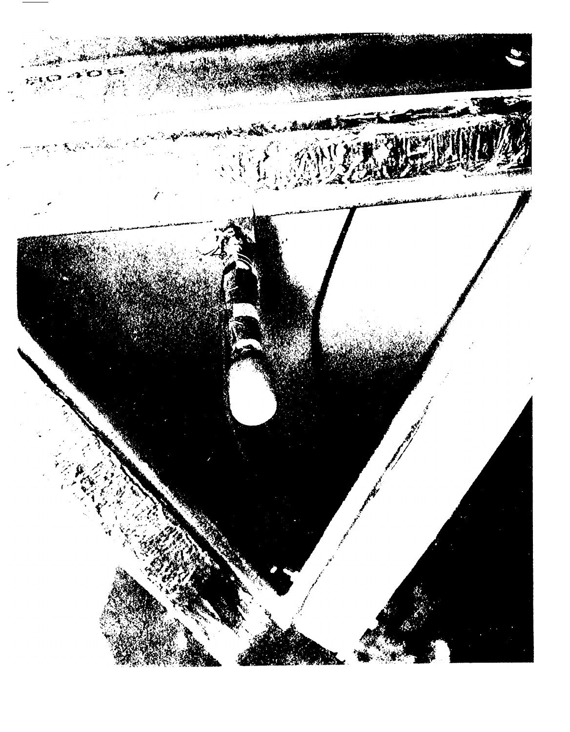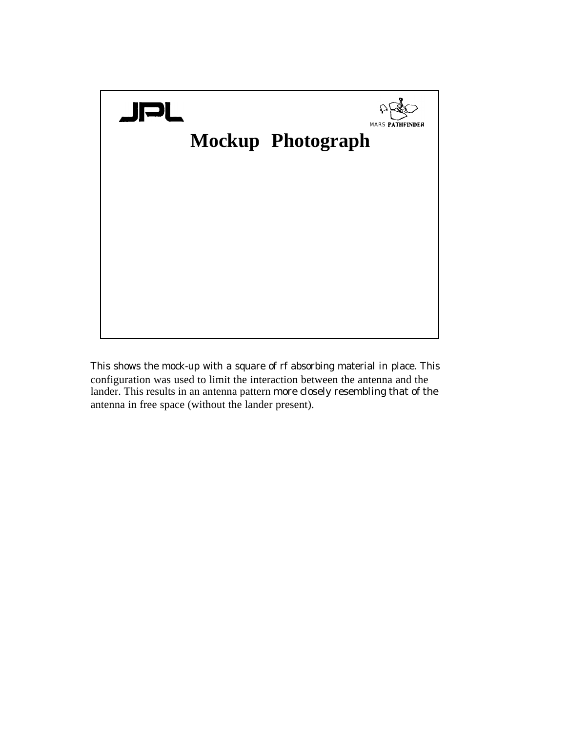

This shows the mock-up with a square of rf absorbing material in place. This configuration was used to limit the interaction between the antenna and the lander. This results in an antenna pattern more closely resembling that of the antenna in free space (without the lander present).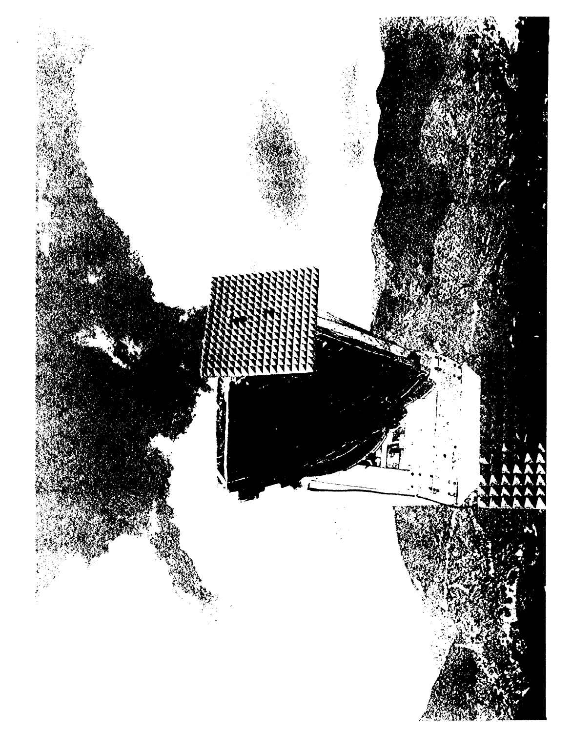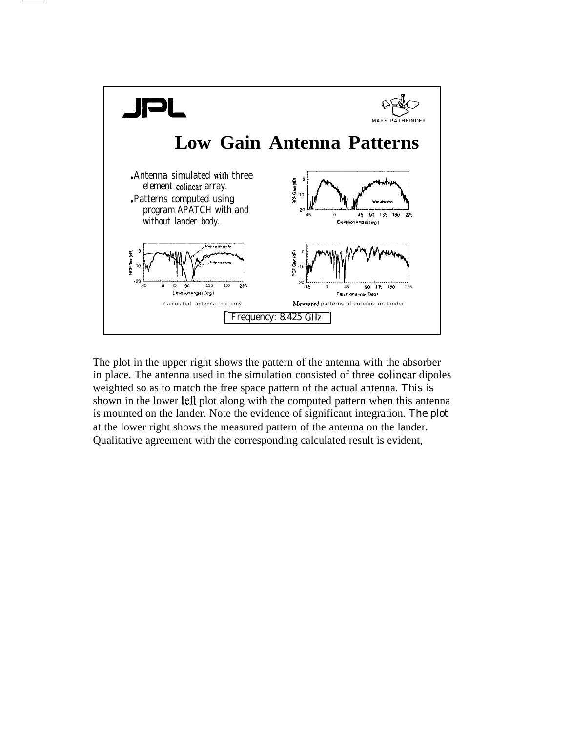

The plot in the upper right shows the pattern of the antenna with the absorber in place. The antenna used in the simulation consisted of three colinear dipoles weighted so as to match the free space pattern of the actual antenna. This is shown in the lower lefi plot along with the computed pattern when this antenna is mounted on the lander. Note the evidence of significant integration. The plot at the lower right shows the measured pattern of the antenna on the lander. Qualitative agreement with the corresponding calculated result is evident,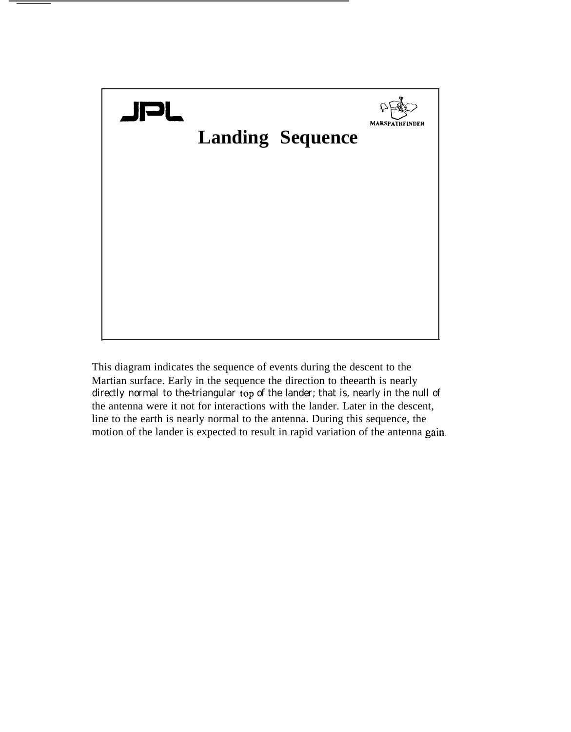

This diagram indicates the sequence of events during the descent to the Martian surface. Early in the sequence the direction to theearth is nearly directly normal to the-triangular top of the lander; that is, nearly in the null of the antenna were it not for interactions with the lander. Later in the descent, line to the earth is nearly normal to the antenna. During this sequence, the motion of the lander is expected to result in rapid variation of the antenna gain.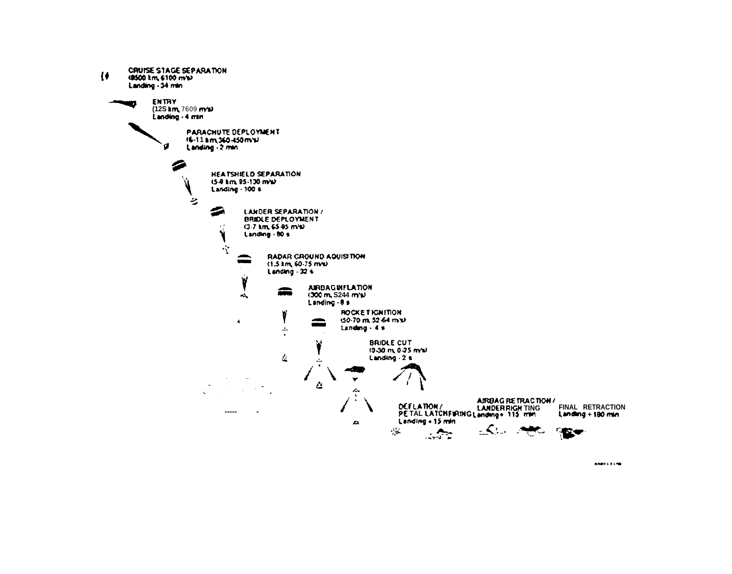

**RADELEIRS**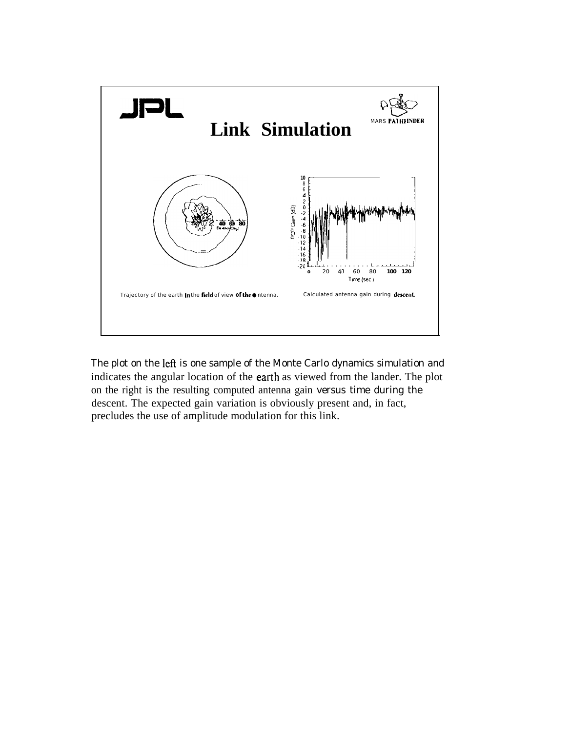

The plot on the lefl is one sample of the Monte Carlo dynamics simulation and indicates the angular location of the earth as viewed from the lander. The plot on the right is the resulting computed antenna gain versus time during the descent. The expected gain variation is obviously present and, in fact, precludes the use of amplitude modulation for this link.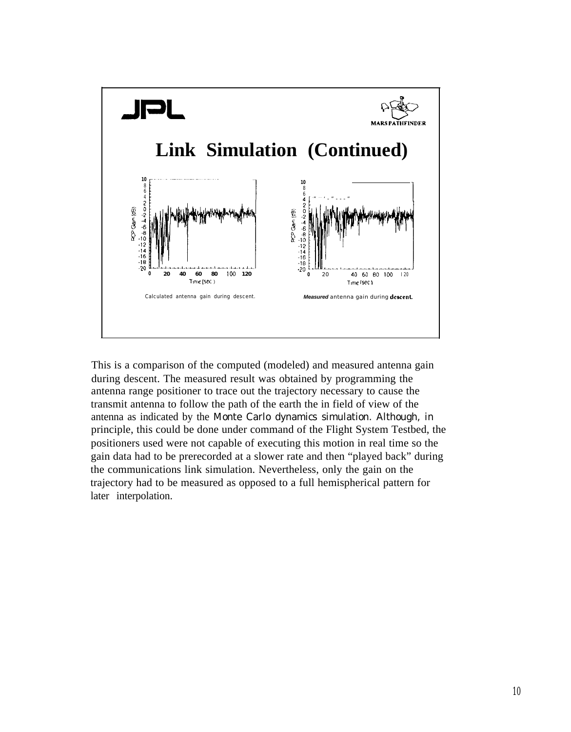

This is a comparison of the computed (modeled) and measured antenna gain during descent. The measured result was obtained by programming the antenna range positioner to trace out the trajectory necessary to cause the transmit antenna to follow the path of the earth the in field of view of the antenna as indicated by the Monte Carlo dynamics simulation. Although, in principle, this could be done under command of the Flight System Testbed, the positioners used were not capable of executing this motion in real time so the gain data had to be prerecorded at a slower rate and then "played back" during the communications link simulation. Nevertheless, only the gain on the trajectory had to be measured as opposed to a full hemispherical pattern for later interpolation.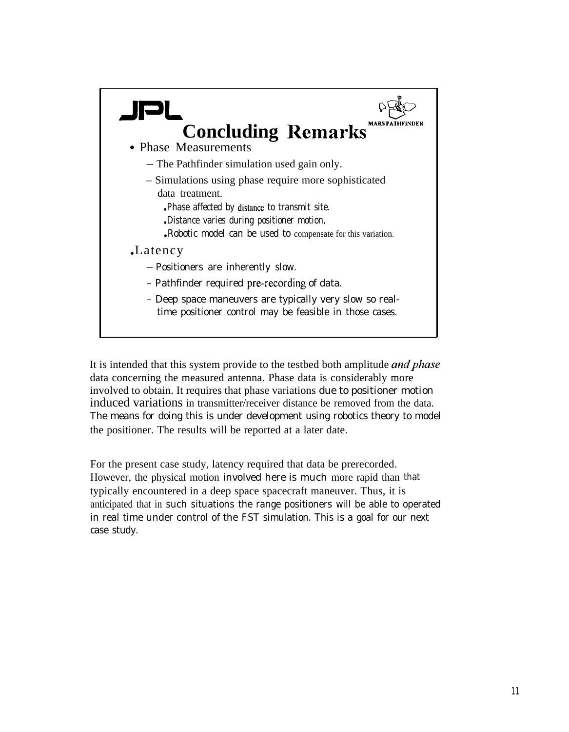

It is intended that this system provide to the testbed both amplitude *andphase* data concerning the measured antenna. Phase data is considerably more involved to obtain. It requires that phase variations due to positioner motion induced variations in transmitter/receiver distance be removed from the data. The means for doing this is under development using robotics theory to model the positioner. The results will be reported at a later date.

For the present case study, latency required that data be prerecorded. However, the physical motion involved here is much more rapid than that typically encountered in a deep space spacecraft maneuver. Thus, it is anticipated that in such situations the range positioners will be able to operated in real time under control of the FST simulation. This is a goal for our next case study.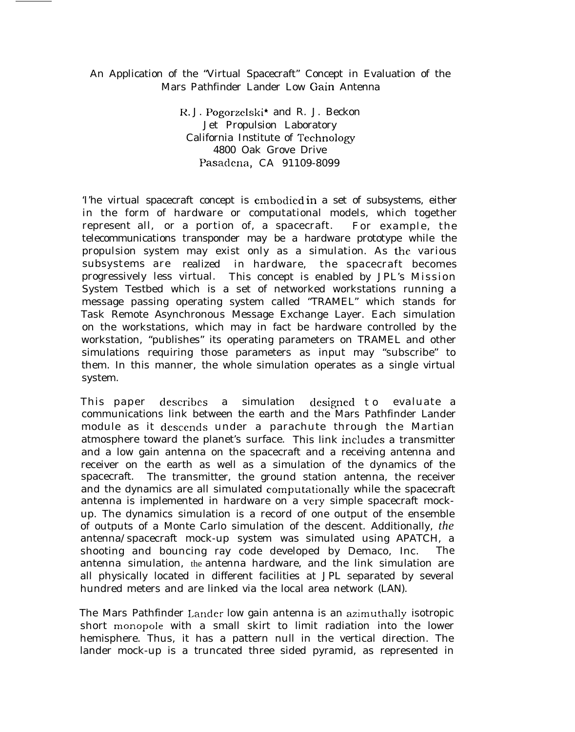## An Application of the "Virtual Spacecraft" Concept in Evaluation of the Mars Pathfinder Lander Low Gain Antenna

R. J. Pogorzelski\* and R. J. Beckon Jet Propulsion Laboratory California Institute of Technolog 4800 Oak Grove Drive Pasadena, CA 91109-8099

'I'he virtual spacecraft concept is embodied in a set of subsystems, either in the form of hardware or computational models, which together represent all, or a portion of, a spacecraft. For example, the telecommunications transponder may be a hardware prototype while the propulsion system may exist only as a simulation. As the various subsystems are realized in hardware, the spacecraft becomes progressively less virtual. This concept is enabled by JPL's Mission System Testbed which is a set of networked workstations running a message passing operating system called "TRAMEL" which stands for Task Remote Asynchronous Message Exchange Layer. Each simulation on the workstations, which may in fact be hardware controlled by the workstation, "publishes" its operating parameters on TRAMEL and other simulations requiring those parameters as input may "subscribe" to them. In this manner, the whole simulation operates as a single virtual system.

This paper describes a simulation designed to evaluate a communications link between the earth and the Mars Pathfinder Lander module as it descends under a parachute through the Martian atmosphere toward the planet's surface. This link includes a transmitter and a low gain antenna on the spacecraft and a receiving antenna and receiver on the earth as well as a simulation of the dynamics of the spacecraft. The transmitter, the ground station antenna, the receiver and the dynamics are all simulated computationally while the spacecraft antenna is implemented in hardware on a very simple spacecraft mockup. The dynamics simulation is a record of one output of the ensemble of outputs of a Monte Carlo simulation of the descent. Additionally, *the* antenna/spacecraft mock-up system was simulated using APATCH, a shooting and bouncing ray code developed by Demaco, Inc. The antenna simulation, the antenna hardware, and the link simulation are all physically located in different facilities at JPL separated by several hundred meters and are linked via the local area network (LAN).

The Mars Pathfinder Lander low gain antenna is an azimuthally isotropic short monopole with a small skirt to limit radiation into the lower hemisphere. Thus, it has a pattern null in the vertical direction. The lander mock-up is a truncated three sided pyramid, as represented in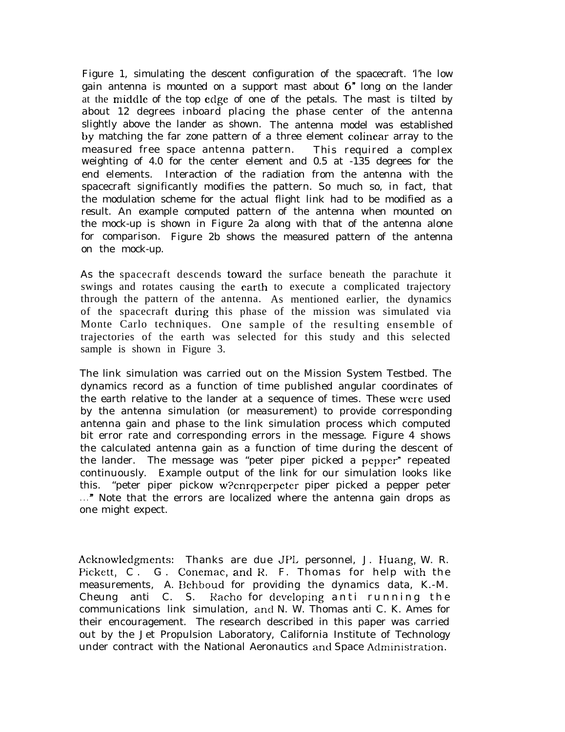Figure 1, simulating the descent configuration of the spacecraft. 'l'he low gain antenna is mounted on a support mast about 6" long on the lander at the midcllc of the top ecige of one of the petals. The mast is tilted by about 12 degrees inboard placing the phase center of the antenna slightly above the lander as shown. The antenna model was established by matching the far zone pattern of a three element colinear array to the measured free space antenna pattern. This required a complex weighting of 4.0 for the center element and 0.5 at -135 degrees for the end elements. Interaction of the radiation from the antenna with the spacecraft significantly modifies the pattern. So much so, in fact, that the modulation scheme for the actual flight link had to be modified as a result. An example computed pattern of the antenna when mounted on the mock-up is shown in Figure 2a along with that of the antenna alone for comparison. Figure 2b shows the measured pattern of the antenna on the mock-up.

As the spacecraft descends toward the surface beneath the parachute it swings and rotates causing the earth to execute a complicated trajectory through the pattern of the antenna. As mentioned earlier, the dynamics of the spacecraft during this phase of the mission was simulated via Monte Carlo techniques. One sample of the resulting ensemble of trajectories of the earth was selected for this study and this selected sample is shown in Figure 3.

The link simulation was carried out on the Mission System Testbed. The dynamics record as a function of time published angular coordinates of the earth relative to the lander at a sequence of times. These were used by the antenna simulation (or measurement) to provide corresponding antenna gain and phase to the link simulation process which computed bit error rate and corresponding errors in the message. Figure 4 shows the calculated antenna gain as a function of time during the descent of the lander. The message was "peter piper picked a pepper" repeated continuously. Example output of the link for our simulation looks like this. "peter piper pickow w?cnrqperpeter piper picked a pepper peter ..." Note that the errors are localized where the antenna gain drops as one might expect.

Acknowledgments: Thanks are due JPL personnel, J. Huang, W. R. Fickett,  $C. G.$  Conemac, and R. F. Thomas for help with the measurements, A. Behboud for providing the dynamics data, K.-M. Cheung anti C. S. Racho for developing anti running the communications link simulation, and N. W. Thomas anti C. K. Ames for their encouragement. The research described in this paper was carried out by the Jet Propulsion Laboratory, California Institute of Technology under contract with the National Aeronautics and Space Administration.